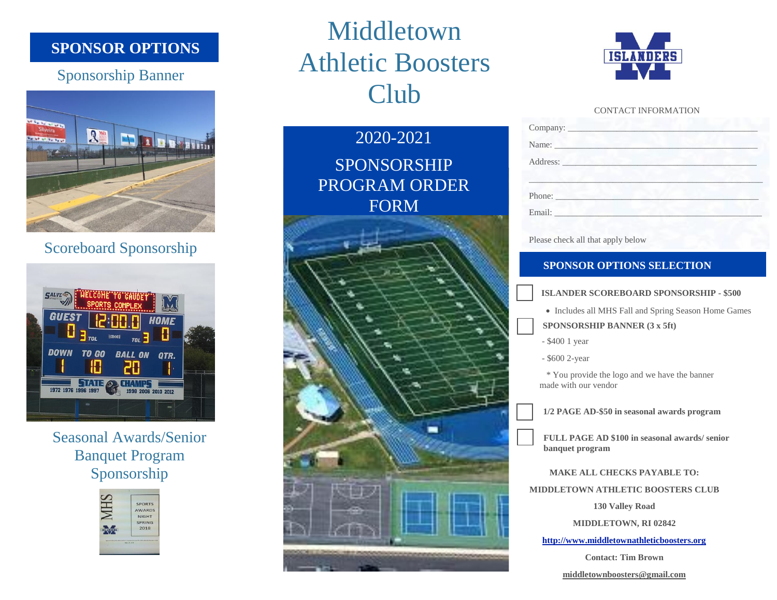## **SPONSOR OPTIONS**

# Sponsorship Banner



# Scoreboard Sponsorship



Seasonal Awards/Senior Banquet Program Sponsorship



# Middletown Athletic Boosters Club

2020-2021 SPONSORSHIP PROGRAM ORDER FORM





#### CONTACT INFORMATION

| Company:             |  |  |  |
|----------------------|--|--|--|
| Name: Name           |  |  |  |
| Address: No. 1996    |  |  |  |
|                      |  |  |  |
| Phone:               |  |  |  |
| Email: New York 1988 |  |  |  |
|                      |  |  |  |

Please check all that apply below

### **SPONSOR OPTIONS SELECTION**

#### **ISLANDER SCOREBOARD SPONSORSHIP - \$500**

- Includes all MHS Fall and Spring Season Home Games
- **SPONSORSHIP BANNER (3 x 5ft)**
- \$400 1 year

- \$600 2-year

man with our vention \* You provide the logo and we have the banner made with our vendor

**1/2 PAGE AD-\$50 in seasonal awards program**

**FULL PAGE AD \$100 in seasonal awards/ senior banquet program**

**MAKE ALL CHECKS PAYABLE TO:**

**MIDDLETOWN ATHLETIC BOOSTERS CLUB**

**130 Valley Road**

**MIDDLETOWN, RI 02842**

**[http://www.middletownathleticboosters.org](http://www.middletownathleticboosters.org/)**

**Contact: Tim Brown**

**middletownboosters@gmail.com**